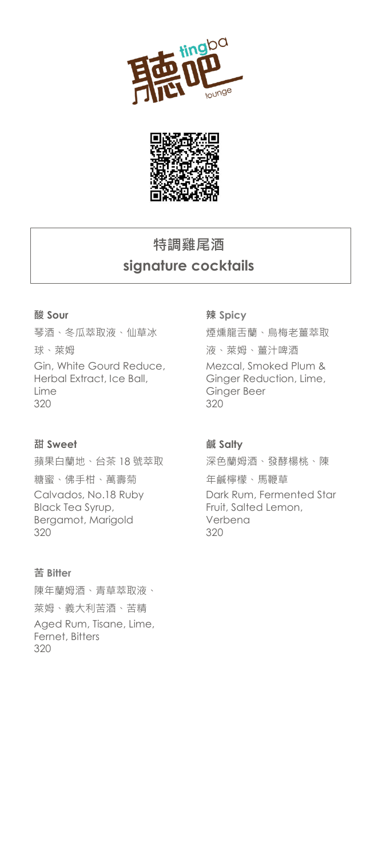



## **特調雞尾酒 signature cocktails**

#### **酸 Sour**

琴酒、冬瓜萃取液、仙草冰 球、萊姆 Gin, White Gourd Reduce, Herbal Extract, Ice Ball, Lime 320

#### **甜 Sweet**

蘋果白蘭地、台茶 18 號萃取 糖蜜、佛手柑、萬壽菊 Calvados, No.18 Ruby Black Tea Syrup, Bergamot, Marigold 320

#### **苦 Bitter**

陳年蘭姆酒、青草萃取液、 萊姆、義大利苦酒、苦精 Aged Rum, Tisane, Lime, Fernet, Bitters 320

#### **辣 Spicy**

煙燻龍舌蘭、烏梅老薑萃取 液、萊姆、薑汁啤酒 Mezcal, Smoked Plum & Ginger Reduction, Lime, Ginger Beer 320

#### **鹹 Salty**

深色蘭姆酒、發酵楊桃、陳 年鹹檸檬、馬鞭草 Dark Rum, Fermented Star Fruit, Salted Lemon, Verbena 320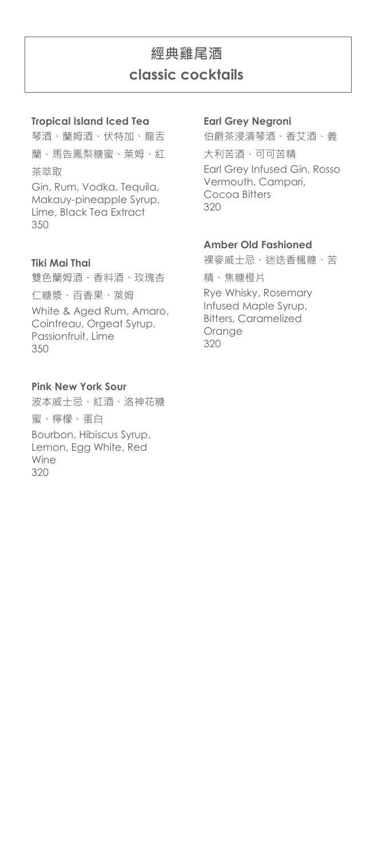## **經典雞尾酒 classic cocktails**

#### **Tropical Island Iced Tea**

琴酒、蘭姆酒、伏特加、龍舌 蘭、馬告鳳梨糖蜜、萊姆、紅 茶萃取

Gin, Rum, Vodka, Tequila, Makauy-pineapple Syrup, Lime, Black Tea Extract 350

#### **Tiki Mai Thai**

雙色蘭姆酒、香料酒、玫瑰杏 仁糖漿、百香果、萊姆 White & Aged Rum, Amaro, Cointreau, Orgeat Syrup, Passionfruit, Lime 350

#### **Pink New York Sour**

波本威士忌、紅酒、洛神花糖 蜜、檸檬、蛋白 Bourbon, Hibiscus Syrup, Lemon, Egg White, Red Wine 320

#### **Earl Grey Negroni**

伯爵茶浸漬琴酒、香艾酒、義 大利苦酒、可可苦精 Earl Grey Infused Gin, Rosso Vermouth, Campari, Cocoa Bitters 320

#### **Amber Old Fashioned**

裸麥威士忌、迷迭香楓糖、苦 精、焦糖橙片 Rye Whisky, Rosemary Infused Maple Syrup, Bitters, Caramelized Orange 320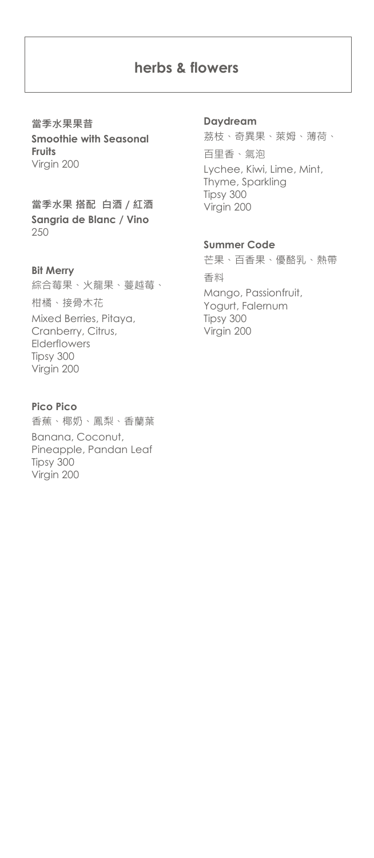### **herbs & flowers**

**當季水果果昔 Smoothie with Seasonal Fruits** Virgin 200

**當季水果 搭配 白酒 / 紅酒 Sangria de Blanc / Vino**  250

#### **Bit Merry**

綜合莓果、火龍果、蔓越莓、 柑橘、接骨木花 Mixed Berries, Pitaya, Cranberry, Citrus, Elderflowers Tipsy 300 Virgin 200

#### **Pico Pico**

香蕉、椰奶、鳳梨、香蘭葉 Banana, Coconut, Pineapple, Pandan Leaf Tipsy 300 Virgin 200

#### **Daydream**

荔枝、奇異果、萊姆、薄荷、 百里香、氣泡 Lychee, Kiwi, Lime, Mint, Thyme, Sparkling Tipsy 300 Virgin 200

#### **Summer Code**

芒果、百香果、優酪乳、熱帶 香料 Mango, Passionfruit, Yogurt, Falernum Tipsy 300 Virgin 200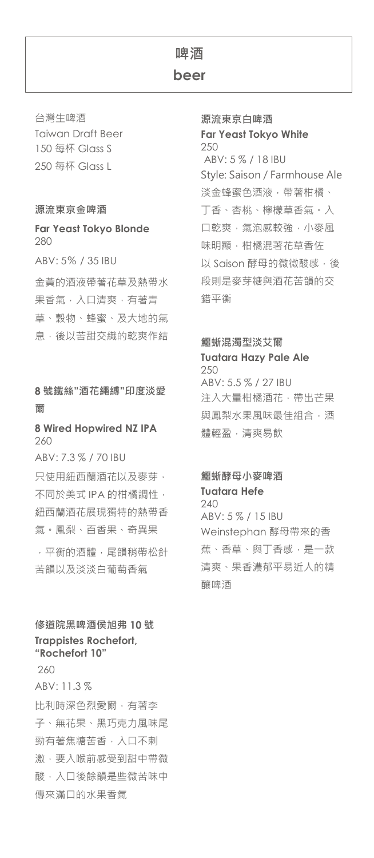## **啤酒**

**beer**

台灣生啤酒 Taiwan Draft Beer 150 每杯 Glass S 250 每杯 Glass L

#### **源流東京金啤酒**

#### **Far Yeast Tokyo Blonde** 280

ABV: 5% / 35 IBU

金黃的酒液帶著花草及熱帶水 果香氣,入口清爽,有著青 草、穀物、蜂蜜、及大地的氣 息,後以苦甜交織的乾爽作結

#### **8 號鐵絲"酒花繩縛"印度淡愛 爾**

#### **8 Wired Hopwired NZ IPA** 260

ABV: 7.3 % / 70 IBU 只使用紐西蘭酒花以及麥芽, 不同於美式 IPA 的柑橘調性, 紐西蘭酒花展現獨特的熱帶香 氣。鳳梨、百香果、奇異果

,平衡的酒體,尾韻稍帶松針 苦韻以及淡淡白葡萄香氣

#### **修道院黑啤酒侯旭弗 10 號 Trappistes Rochefort, "Rochefort 10"**

260 ABV: 11.3 % 比利時深色烈愛爾,有著李 子、無花果、黑巧克力風味尾 勁有著焦糖苦香,入口不刺 激,要入喉前感受到甜中帶微 酸,入口後餘韻是些微苦味中 傳來滿口的水果香氣

**源流東京白啤酒 Far Yeast Tokyo White**  250 ABV: 5 % / 18 IBU Style: Saison / Farmhouse Ale 淡金蜂蜜色酒液,帶著柑橘、 丁香、杏桃、檸檬草香氣。入 口乾爽,氣泡感較強,小麥風 味明顯,柑橘混著花草香佐 以 Saison 酵母的微微酸感, 後 段則是麥芽糖與酒花苦韻的交 錯平衡

#### **鱷蜥混濁型淡艾爾**

**Tuatara Hazy Pale Ale**  250 ABV: 5.5 % / 27 IBU 注入大量柑橘酒花,帶出芒果 與鳳梨水果風味最佳組合,酒

體輕盈,清爽易飲

#### **鱷蜥酵母小麥啤酒 Tuatara Hefe**

240 ABV: 5 % / 15 IBU Weinstephan 酵母帶來的香 蕉、香草、與丁香感,是一款 清爽、果香濃郁平易近人的精 釀啤酒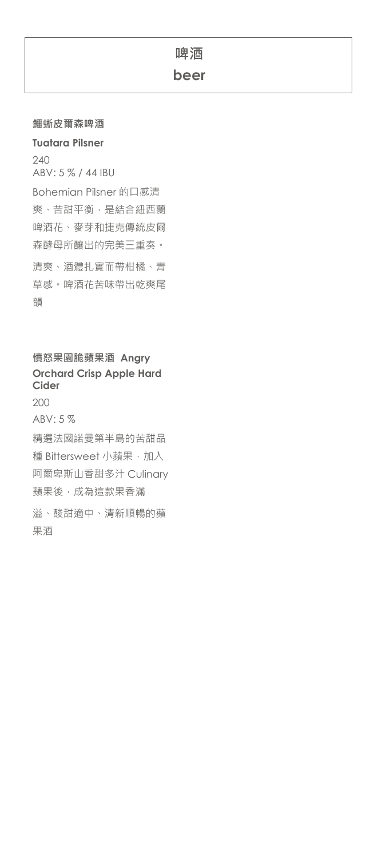# **鱷蜥皮爾森啤酒**

#### **Tuatara Pilsner**

240 ABV: 5 % / 44 IBU Bohemian Pilsner 的口感清 爽、苦甜平衡,是結合紐西蘭 啤酒花、麥芽和捷克傳統皮爾 森酵母所釀出的完美三重奏。

清爽、酒體扎實而帶柑橘、青 草感。啤酒花苦味帶出乾爽尾 韻

### **憤怒果園脆蘋果酒 Angry Orchard Crisp Apple Hard Cider**

200 ABV: 5 % 精選法國諾曼第半島的苦甜品 種 Bittersweet 小蘋果,加入 阿爾卑斯山香甜多汁 Culinary 蘋果後,成為這款果香滿 溢、酸甜適中、清新順暢的蘋 果酒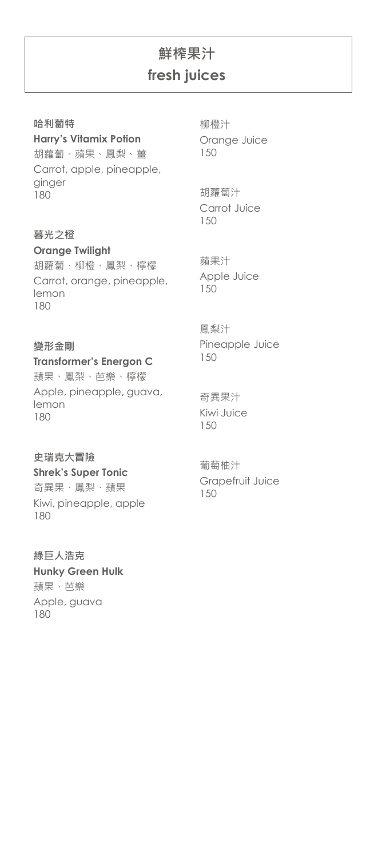# **鮮榨果汁 fresh juices**

#### **哈利蔔特**

**Harry's Vitamix Potion** 胡蘿蔔、蘋果、鳳梨、薑 Carrot, apple, pineapple, ginger 180

#### **暮光之橙**

**Orange Twilight** 胡蘿蔔、柳橙、鳳梨、檸檬 Carrot, orange, pineapple, lemon 180

#### **變形金剛**

#### **Transformer's Energon C**

蘋果、鳳梨、芭樂、檸檬 Apple, pineapple, guava, lemon 180

#### **史瑞克大冒險**

#### **Shrek's Super Tonic**

奇異果、鳳梨、蘋果 Kiwi, pineapple, apple 180

**綠巨人浩克 Hunky Green Hulk** 蘋果、芭樂 Apple, guava 180

柳橙汁 Orange Juice 150

胡蘿蔔汁 Carrot Juice 150

蘋果汁 Apple Juice 150

#### 鳳梨汁 Pineapple Juice 150

奇異果汁 Kiwi Juice 150

葡萄柚汁 Grapefruit Juice 150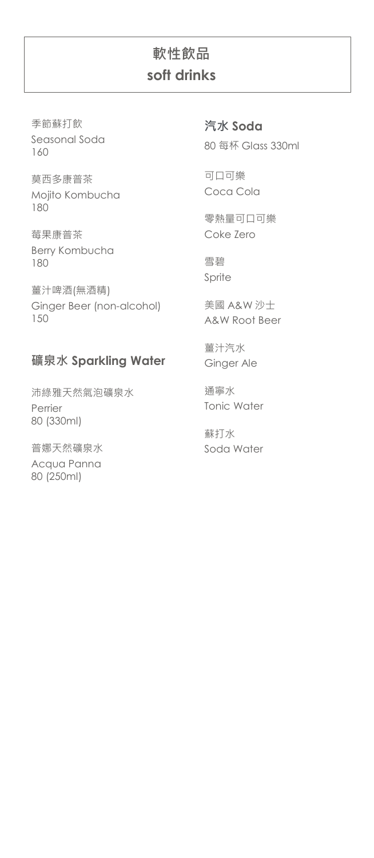## **軟性飲品 soft drinks**

季節蘇打飲 Seasonal Soda 160

莫西多康普茶 Mojito Kombucha 180

莓果康普茶 Berry Kombucha 180

薑汁啤酒(無酒精) Ginger Beer (non-alcohol) 150

### **礦泉水 Sparkling Water**

沛綠雅天然氣泡礦泉水 Perrier 80 (330ml)

普娜天然礦泉水 Acqua Panna 80 (250ml)

**汽水 Soda** 80 每杯 Glass 330ml

可口可樂 Coca Cola

零熱量可口可樂 Coke Zero

雪碧 Sprite

美國 A&W 沙士 A&W Root Beer

薑汁汽水 Ginger Ale

通寧水 Tonic Water

蘇打水 Soda Water